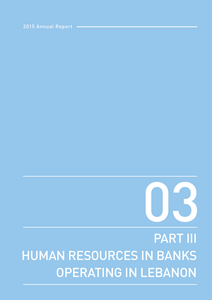# PART III HUMAN RESOURCES IN BANKS OPERATING IN LEBANON



2015 Annual Report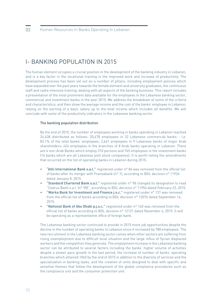## I- BANKING POPULATION IN 2015

The human element occupies a crucial position in the development of the banking industry in Lebanon, and is a key factor in the vocational training in the improved work and increase of productivity. The development process has been set out on a number of pillars, including employment policies which have expanded over the past years towards the female element and university graduates, the continuous staff and cadre intensive training, dealing with all aspects of the banking business. This report includes a presentation of the most prominent data available for the employees in the Lebanese banking sector, commercial and investment banks in the year 2015. We address the breakdown of some of the criteria and characteristics, and then show the average income and the cost of the banks' employee in Lebanon, relying on the earning of a basic salary up to the total income which includes all benefits. We will conclude with some of the productivity indicators in the Lebanese banking sector.

#### The banking population distribution

By the end of 2015, the number of employees working in banks operating in Lebanon reached 24,638 distributed as follows: 20,478 employees in 32 Lebanese commercial banks - i.e. 83.1% of the total banks' employees; 2,661 employees in 9 Lebanese banks of major Arab shareholders; 424 employees in the branches of 8 Arab banks operating in Lebanon. There are 4 non-Arab Banks which employ 310 persons and 765 employees in the investment banks (16 banks which are all Lebanese joint stock companies). It is worth noting the amendments that occurred on the list of operating banks in Lebanon during 2015:

- **"Ahli International Bank s.a.l."** registered under n° 84 was removed from the official list of banks after its merger with Fransabank (n° 1), according to BDL decision n° 11926 dated January 8, 2015.
- **"Standard Chartered Bank s.a.l."** registered under n° 98 changed its designation to read "Cedrus Bank s.a.l. (n° 98)", according to BDL decision n° 11954 dated February 23, 2015.
- **"Warka Bank for Investment and Finance j.s.c."** registered under n° 131 was removed from the official list of banks according to BDL decision n° 12076 dated September 14, 2015.
- **"National Bank of Abu Dhabi p.j.s.c."** registered under n° 140 was removed from the official list of banks according to BDL decision n° 12121 dated November 4, 2015. It will be operating as a representative office of foreign bank.

The Lebanese banking sector continued to provide in 2015 more job opportunities despite the decline in the number of operating banks in Lebanon since it increased by 788 employees. The new recruitment in the Lebanese banking sector comes when other sectors are suffering from rising unemployment due to difficult local situation and the large influx of Syrian displaced workers and the competition they generate. The employment increase in the Lebanese banking sector can be attributed to several factors including the banks' higher volume of activities despite a slower pace growth in the last period, the increase of number of banks' operating branches which attained 1060 by the end of 2015 in addition to the diversity of services and the specialization in banking tasks, and the creation of units designed to deal with specific and sensitive themes that follow the development of the global compliance procedures such as the compliance unit and the consumer protection unit.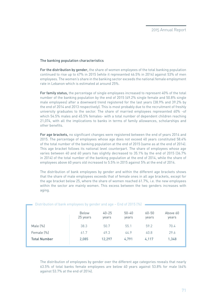## The banking population characteristics

For the distribution by gender, the share of women employees of the total banking population continued to rise up to 47% in 2015 (while it represented 46.5% in 2014) against 53% of men employees. The women's share in the banking sector exceeds the national female employment rate in Lebanon which is estimated at around 25%.

For family status, the percentage of single employees increased to represent 40% of the total number of the banking population by the end of 2015 (49.2% single female and 50.8% single male employees) after a downward trend registered for the last years (38.9% and 39.2% by the end of 2014 and 2013 respectively). This is most probably due to the recruitment of freshly university graduates to the sector. The share of married employees represented 60% -of which 54.5% males and 45.5% females- with a total number of dependent children reaching 21,074, with all the implications to banks in terms of family allowances, scholarships and other benefits.

For age brackets, no significant changes were registered between the end of years 2014 and 2015. The percentage of employees whose age does not exceed 40 years constituted 58.4% of the total number of the banking population at the end of 2015 (same as at the end of 2014). This age bracket follows its national level counterpart. The share of employees whose age varies between 40 and 60 years has slightly decreased to 35.1% by the end of 2015 (36.7% in 2014) of the total number of the banking population at the end of 2014, while the share of employees above 60 years old increased to 5.5% in 2015 against 5% at the end of 2014.

The distribution of bank employees by gender and within the different age brackets shows that the share of male employees exceeds that of female ones in all age brackets, except for the age bracket below 25, where the share of women reached 61.7%, i.e. the new employees within the sector are mainly women. This excess between the two genders increases with aging.

| Distribution or bank employees by genuer and age - Life or 2019 (70) |                   |                    |                    |                    |                   |  |  |  |  |
|----------------------------------------------------------------------|-------------------|--------------------|--------------------|--------------------|-------------------|--|--|--|--|
|                                                                      | Below<br>25 years | $40 - 25$<br>years | $50 - 40$<br>years | $60 - 50$<br>years | Above 60<br>years |  |  |  |  |
| Male $(\%)$                                                          | 38.3              | 50.7               | 55.1               | 59.2               | 70.4              |  |  |  |  |
| Female (%)                                                           | 61.7              | 49.3               | 44.9               | 40.8               | 29.6              |  |  |  |  |
| <b>Total Number</b>                                                  | 2,085             | 12,297             | 4,791              | 4,117              | 1,348             |  |  |  |  |

Distribution of bank employees by gender and age – End of 2015 (%)

The distribution of employees by gender over the different age categories reveals that nearly 63.5% of total banks female employees are below 40 years against 53.8% for male (64% against 53.7% at the end of 2014).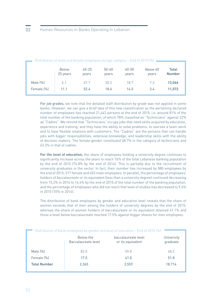| Distribution of male and female employees by age category – End of 2015 $\%$ – |          |           |           |           |          |               |  |  |  |
|--------------------------------------------------------------------------------|----------|-----------|-----------|-----------|----------|---------------|--|--|--|
|                                                                                | Below    | $40 - 25$ | $50 - 40$ | $60 - 50$ | Above 60 | Total         |  |  |  |
|                                                                                | 25 years | years     | years     | years     | years    | <b>Number</b> |  |  |  |
| Male $(\%)$                                                                    | 6.1      | 47.7      | 20.2      | 18.7      | 7.3      | 13,066        |  |  |  |
| Female (%)                                                                     | 11.1     | 52.4      | 18.6      | 14.5      | 3.4      | 11,572        |  |  |  |

For job grades, we note that the detailed staff distribution by grade was not applied in some banks. However, we can give a brief idea of this new classification as the pertaining declared number of employees has reached 21,443 persons at the end of 2015, i.e. around 81% of the total number of the banking population, of which 78% classified as "Technicians" against 22% as "Cadres". We remind that "Technicians" occupy jobs that need skills acquired by education, experience and training; and they have the ability to solve problems, to oversee a team work and to have flexible relations with customers. The "Cadres" are the persons that can handle jobs with bigger responsibilities, extensive knowledge, and leadership skills with the ability of decision makers. The female gender constituted 48.7% in the category of technicians and 43.3% in that of cadres.

**For the level of education,** the share of employees holding a university degree continues to significantly increase across the years to reach 76% of the total Lebanese banking population by the end of 2015 (74.8% by the end of 2014). This is partially due to the recruitment of university graduates in the sector. In fact, their number has increased by 880 employees by the end of 2015; 517 female and 453 male employees. In parallel, the percentage of employees' holders of baccalaureate or its equivalent (less than a university degree) continued decreasing from 15.2% in 2014 to 14.4% by the end of 2015 of the total number of the banking population, and the percentage of employees who did not reach that level of studies has decreased to 9.6% in 2015 (10% in 2014).

The distribution of bank employees by gender and education level reveals that the share of women exceeds that of men among the holders of university degrees by the end of 2015; whereas the share of women holders of baccalaureate or its equivalent attained 41.1% and those a level below baccalaureate reached 17.5% against bigger shares for men employees.

| Distribution of bank employees by gender and level of education - End of 2015 [%] |                                  |                                          |                        |  |  |  |  |  |
|-----------------------------------------------------------------------------------|----------------------------------|------------------------------------------|------------------------|--|--|--|--|--|
|                                                                                   | Below the<br>Baccalaureate level | baccalaureate level<br>or its equivalent | University<br>graduate |  |  |  |  |  |
| Male $(\%)$                                                                       | 82.5                             | 59.0                                     | 48.2                   |  |  |  |  |  |
| Female (%)                                                                        | 17.5                             | 41.0                                     | 51.8                   |  |  |  |  |  |
| <b>Total Number</b>                                                               | 2,365                            | 3,559                                    | 18,714                 |  |  |  |  |  |
|                                                                                   |                                  |                                          |                        |  |  |  |  |  |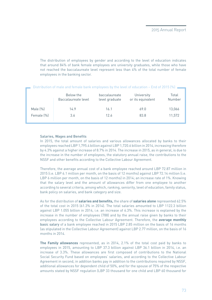The distribution of employees by gender and according to the level of education indicates that around 84% of bank female employees are university graduates, while those who have not reached the baccalaureate level represent less than 4% of the total number of female employees in the banking sector.

| Distribution of male and female bank employees by the level of education - End of 2015 (%) |                                  |                                 |                                 |                 |  |  |  |  |  |
|--------------------------------------------------------------------------------------------|----------------------------------|---------------------------------|---------------------------------|-----------------|--|--|--|--|--|
|                                                                                            | Below the<br>Baccalaureate level | baccalaureate<br>level graduate | University<br>or its equivalent | Total<br>Number |  |  |  |  |  |
| Male $(\%)$                                                                                | 14.9                             | 16.1                            | 69.0                            | 13,066          |  |  |  |  |  |
| Female (%)                                                                                 | 3.6                              | 12.6                            | 83.8                            | 11,572          |  |  |  |  |  |

#### Salaries, Wages and Benefits

In 2015, the total amount of salaries and various allowances allocated by banks to their employees reached LBP 1,795.4 billion against LBP 1,720.6 billion in 2014, increasing therefore by 4.3% against a higher increase of 8.7% in 2014. The increase in 2015, as in general, is due to the increase in the number of employees, the statutory annual raise, the contributions to the NSSF and other benefits according to the Collective Labour Agreement.

Therefore, the average annual cost of a bank employee reached around LBP 72.87 million in 2015 (i.e. LBP 6.1 million per month, on the basis of 12 months) against LBP 72.14 million (i.e. LBP 6 million per month, on the basis of 12 months) in 2014; an increase rate of 1%. Knowing that the salary level and the amount of allowances differ from one employee to another according to several criteria, among which, ranking, seniority, level of education, family status, bank policy on salaries, and bank category and size.

As for the distribution of **salaries and benefits,** the share of **salaries alone** represented 62.5% of the total cost in 2015 (61.3% in 2014). The total salaries amounted to LBP 1122.3 billion against LBP 1.055 billion in 2014, i.e. an increase of 6.3%. This increase is explained by the increase in the number of employees (788) and by the annual raise given by banks to their employees according to the Collective Labour Agreement. Therefore, the **average monthly**  basic salary of a bank employee reached in 2015 LBP 2.85 million on the basis of 16 months (as stipulated in the Collective Labour Agreement) against LBP 2.77 million, on the basis of 16 months in 2014.

**The Family allowances** represented, as in 2014, 2.1% of the total cost paid by banks to employees in 2015, amounting to LBP 37.3 billion against LBP 36.1 billion in 2014, i.e. an increase of 3.3%. These allowances are first composed of contributions to the National Social Security Fund based on employees' salaries, and according to the Collective Labour Agreement in second, in addition banks pay in addition to the contributions required by NSSF, additional allowances for dependent child of 50%, and for the spouse of 75% of the respective amounts stated by NSSF regulation (LBP 33 thousand for one child and LBP 60 thousand for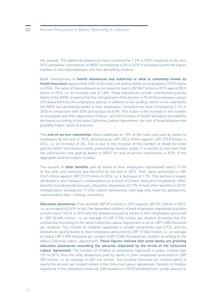the spouse). The additional allowances have increased by 1.3% in 2015 compared to the year 2014 and banks' contribution to NSSF increased by 4.3% in 2015 in accordance with the higher number of married employees and their benefiting children.

Bank contributions to **health allowances and maternity or what is commonly known as health insurance** represented 4.8% of the total cost paid by banks to employees in 2015 (same in 2014). The value of these allowances increased to reach LBP 86.7 billion in 2015 against 83.5 billion in 2014, i.e. an increase rate of 3.8%. These allowances include contributions paid by banks to the NSSF, knowing that the rate applied to that division is 7% of the employee's salary (2% deducted from the employee's salary), in addition to the surplus, which is not covered by the NSSF and granted by banks to their employees. Contributions have increased by 3.1% in 2015 in comparison with 2014 and surplus by 4.9%. This is due to the increase in the number of employees and their dependent children, and the increase of health allowance provided by the banks according to the latest Collective Labour Agreement, the cost of hospitalization and probably higher cases of sickness.

The **end-of-service indemnities** share stabilized at 13% of the total cost paid by banks to employees by the end of 2015, amounting to LBP 232.6 billion against LBP 225.8 billion in 2014, i.e. an increase of 3%. This is due to the increase of the number of newly recruited and the NSSF contributions while provisioning remains stable. It is worthy to note here that the contribution rate paid by banks to NSSF for end-of-service indemnities is 8.5% of the aggregate salaries subject to taxes.

The amount of **other benefits** paid by banks to their employees represented nearly 17.6% of the total cost (salaries and benefits) by the end of 2015. Their value amounted to LBP 316.5 billion against LBP 319.9 billion in 2014, i.e. a decrease of 1.1%. This decline is largely attributed to less transport compensation as a result of a lower daily price of gasoline. Other benefits include beside bonuses, education allowances (21.9% of total other benefits in 2015), transportation allowances (17.6%), cashier allowances, marriage and maternity allowances, representation fees, clothing, and others.

**Education allowances:** They reached LBP 69.4 billion in 2015 against LBP 65.7 billion in 2014, i.e. an increase of 5.6%. In fact, the dependent children of bank employees registered in private schools were 13,474 in 2015 and the allowances paid by banks to their employees amounted to LBP 50.608 million, i.e. an average of LBP 3.756 million per student (knowing that the scholarship according to the latest Collective Labour Agreement is set at LBP 3,500 thousand per student). The number of children registered in private universities was 2,972, and the allowances paid by banks to their employees amounted to LBP 17.504 million, i.e. an average of nearly LBP 5.890 thousand per student (LBP 5,500 thousand per student according to the latest Collective Labour Agreement). **These figures indicate that some banks are granting education allowances exceeding the amounts stipulated by the terms of the Collective Labour Agreement.** The number of children of employees registered in public schools was 193 in 2015, thus the total allowances paid by banks to their employees amounted to LBP 309 million, i.e. an average of LBP one million five hundred thousand per student which is nearly the amount per student stated in the Collective Labour Agreement. Parents of children registered in the Lebanese University (368 students in 2015) benefited from a total amount of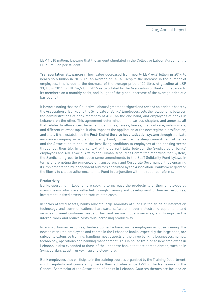LBP 1.010 million, knowing that the amount stipulated in the Collective Labour Agreement is LBP 3 million per student.

**Transportation allowances:** Their value decreased from nearly LBP 64.9 billion in 2014 to nearly 55.6 billion in 2015, i.e. an average of 14.3%. Despite the increase in the number of employees, this is due to the decrease of the average price of 20 litres of gasoline at LBP 33,083 in 2014 to LBP 24,500 in 2015 as circulated by the Association of Banks in Lebanon to its members on a monthly basis, and in light of the global decrease of the average price of a barrel of oil.

It is worth noting that the Collective Labour Agreement, signed and revised on periodic basis by the Association of Banks and the Syndicate of Banks' Employees, sets the relationship between the administrations of bank members of ABL, on the one hand, and employees of banks in Lebanon, on the other. This agreement determines, in its various chapters and annexes, all that relates to allowances, benefits, indemnities, raises, leaves, medical care, salary scale, and different relevant topics. It also imposes the application of the new regime classification, and lately it has established the **Post-End-of Service hospitalization system** through a private insurance company or a Staff Solidarity Fund; to secure the deep commitment of banks and the Association to ensure the best living conditions to employees of the banking sector throughout their life. In the context of the current talks between the Syndicates of banks' employees and ABL's Social Affairs and Human Resources Committee regarding that System, the Syndicate agreed to introduce some amendments to the Staff Solidarity Fund bylaws in terms of promoting the principles of transparency and Corporate Governance, thus ensuring its implementation by independent auditors appointed by the Association. Banks were granted the liberty to choose adherence to this Fund in conjunction with the required reforms.

#### **Productivity**

Banks operating in Lebanon are seeking to increase the productivity of their employees by many means which are reflected through training and development of human resources, investment in fixed assets and staff related costs.

In terms of fixed assets, banks allocate large amounts of funds in the fields of information technology and communications, hardware, software, modern electronic equipment, and services to meet customer needs of fast and secure modern services, and to improve the internal work and reduce costs thus increasing productivity.

In terms of human resources, the development is based on the employees' in house training. The newlee recruited employees and cadres in the Lebanese banks, especially the large ones, are subject to extensive training, handling most aspects of the three banking businesses, namely technology, operations and banking management. This in house training to new employees in Lebanon is also expanded to those of the Lebanese banks that are spread abroad, such as in Syria, Jordan, Egypt, Turkey, Iraq and elsewhere.

Bank employees also participate in the training courses organized by the Training Department, which regularly and consistently tracks their activities since 1991 in the framework of the General Secretariat of the Association of banks in Lebanon. Courses themes are focused on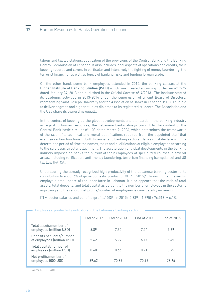labour and tax legislations, application of the provisions of the Central Bank and the Banking Control Commission of Lebanon. It also includes legal aspects of operations and credits, their keeping records and covers in particular and intensively the fighting of money laundering, the terrorist financing, as well as topics of banking risks and funding foreign trade.

On the other hand, some bank employees attended in 2015, the banking classes at the **Higher Institute of Banking Studies (ISEB)** which was created according to Decree n° 9749 dated January 24, 2013 and published in the Official Gazette n° 4/2013. The Institute started its academic activities in 2013-2014 under the supervision of a joint Board of Directors, representing Saint-Joseph University and the Association of Banks in Lebanon. ISEB is eligible to deliver degrees and higher studies diplomas to its registered students. The Association and the USJ share its ownership equally.

In the context of keeping up the global developments and standards in the banking industry in regard to human resources, the Lebanese banks always commit to the content of the Central Bank basic circular n° 103 dated March 9, 2006, which determines the frameworks of the scientific, technical and moral qualifications required from the appointed staff that exercise certain functions in both financial and banking sectors. Banks must declare within a determined period of time the names, tasks and qualifications of eligible employees according to the said basic circular attachment. The acceleration of global developments in the banking industry imposes on banks the pursuit of their employees of specialized courses in several areas, including verification, anti-money laundering, terrorism financing (compliance) and US tax Law (FATCA).

Underscoring the already recognized high productivity of the Lebanese banking sector is its contribution to about 6% of gross domestic product or GDP in 2015(\*), knowing that the sector employs a small share of the labor force in Lebanon. It also appears that the ratio of total assets, total deposits, and total capital as percent to the number of employees in the sector is improving and the ratio of net profits/number of employees is considerably increasing.

(\*) = (sector salaries and benefits+profits/ GDP) in 2015: (2,839 + 1,795) / 76,518) = 6.1%

|                                                          | <b>End of 2012</b> | <b>End of 2013</b> | Fnd of 2014 | <b>End of 2015</b> |
|----------------------------------------------------------|--------------------|--------------------|-------------|--------------------|
| Total assets/number of<br>employees (million USD)        | 6.89               | 7.30               | 7.54        | 7.99               |
| Deposits of clients/number<br>of employees (million USD) | 5.62               | 5.97               | 6.14        | 6.45               |
| Total capital/number of<br>employees (million USD)       | 0.60               | 0.66               | 0.71        | 0.75               |
| Net profits/number of<br>employees (000 USD)             | 69.62              | 70.89              | 70.99       | 78.96              |

Employees' productivity indicators in the Lebanese banking sector

**Sources:** BDL –ABL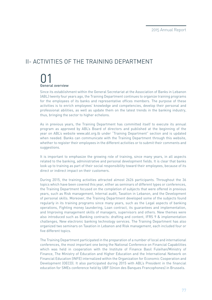## II- ACTIVITIES OF THE TRAINING DEPARTMENT

# 01<br>General overview

Since its establishment within the General Secretariat at the Association of Banks in Lebanon (ABL) twenty four years ago, the Training Department continues to organize training programs for the employees of its banks and representative offices members. The purpose of these activities is to enrich employees' knowledge and competencies, develop their personal and professional abilities, as well as update them on the latest trends in the banking industry, thus, bringing the sector to higher echelons.

As in previous years, the Training Department has committed itself to execute its annual program as approved by ABL's Board of directors and published at the beginning of the year on ABL's website www.abl.org.lb under "Training Department" section and is updated when needed. Banks can communicate with the Training Department through this website, whether to register their employees in the different activities or to submit their comments and suggestions.

It is important to emphasize the growing role of training, since many years, in all aspects related to the banking, administrative and personal development fields. It is clear that banks look up to training as part of their social responsibility toward their employees, because of its direct or indirect impact on their customers.

During 2015, the training activities attracted almost 2626 participants. Throughout the 36 topics which have been covered this year, either as seminars of different types or conferences, the Training Department focused on the completion of subjects that were offered in previous years, such as Risk management, Internal audit, Taxation in Lebanon, and the Development of personal skills. Moreover, the Training Department developed some of the subjects found regularly in its training programs since many years, such as the Legal aspects of banking operations, Fighting money laundering, Loan contract, its guarantees and implementation, and Improving management skills of managers, supervisors and others. New themes were also introduced such as Banking contracts: drafting and content, IFRS 9 & implementation challenges, New electronic banking technology services. The Training Department has also organized two seminars on Taxation in Lebanon and Risk management, each included four or five different topics.

The Training Department participated in the preparation of a number of local and international conferences, the most important one being the National Conference on Financial Capabilities which was held in cooperation with the Institute of Finance Basil Fuleihan/Ministry of Finance, The Ministry of Education and Higher Education and the International Network on Financial Education (INFE) internalized within the Organization for Economic Cooperation and Development (OECD). It also participated during 2015 with ABL's President in the financial education for SMEs conference held by UBF (Union des Banques Francophones) in Brussels.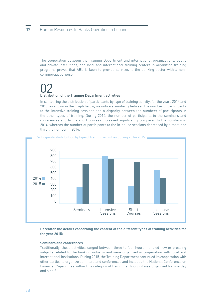The cooperation between the Training Department and international organizations, public and private institutions, and local and international training centers in organizing training programs proves that ABL is keen to provide services to the banking sector with a noncommercial purpose.

## 02 Distribution of the Training Department activities

In comparing the distribution of participants by type of training activity, for the years 2014 and 2015, as shown in the graph below, we notice a similarity between the number of participants to the intensive training sessions and a disparity between the numbers of participants in the other types of training. During 2015, the number of participants to the seminars and conferences and to the short courses increased significantly compared to the numbers in 2014, whereas the number of participants to the in-house sessions decreased by almost one third the number in 2014.



Participants' distribution by type of training activities during 2014-2015

### **Hereafter the details concerning the content of the different types of training activities for the year 2015:**

#### **Seminars and conferences**

Traditionally, these activities ranged between three to four hours, handled new or pressing subjects related to the banking industry and were organized in cooperation with local and international institutions. During 2015, the Training Department continued its cooperation with other parties to organize seminars and conferences and included the National Conference on Financial Capabilities within this category of training although it was organized for one day and a half.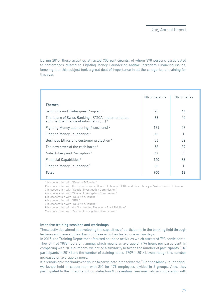During 2015, these activities attracted 700 participants, of whom 378 persons participated to conferences related to Fighting Money Laundering and/or Terrorism Financing issues, knowing that this subject took a great deal of importance in all the categories of training for this year.

|                                                                                                         | Nb of persons | Nb of banks |
|---------------------------------------------------------------------------------------------------------|---------------|-------------|
| <b>Themes</b>                                                                                           |               |             |
| Sanctions and Embargoes Program <sup>1</sup>                                                            | 70            | 44          |
| The future of Swiss Banking (FATCA implementation,<br>automatic exchange of information, ) <sup>2</sup> | 68            | 45          |
| Fighting Money Laundering (4 sessions) <sup>3</sup>                                                     | 174           | 27          |
| Fighting Money Laundering 4                                                                             | 40            |             |
| Business Ethics and customer protection <sup>5</sup>                                                    | 56            | 32          |
| The new cover of the cash boxes 6                                                                       | 58            | 39          |
| Anti-Bribery and Corruption <sup>7</sup>                                                                | 64            | 38          |
| Financial Capabilities <sup>8</sup>                                                                     | 140           | 68          |
| Fighting Money Laundering <sup>9</sup>                                                                  | 30            |             |
| <b>Total</b>                                                                                            | 700           | 68          |

**1** in cooperation with "Deloitte & Touche"

**2** in cooperation with the Swiss Business Council Lebanon (SBCL) and the embassy of Switzerland in Lebanon

**3** in cooperation with "Special Investigation Commission"

- **4** in cooperation with "Special Investigation Commission"
- **5** in cooperation with "Deloitte & Touche"
- **6** in cooperation with "BDL"
- **7** in cooperation with "Deloitte & Touche"
- **8** in cooperation with the "Institut des Finances Basil Fuleihan"
- **9** in cooperation with "Special Investigation Commission"

#### **Intensive training sessions and workshops**

These activities aimed at developing the capacities of participants in the banking field through lectures and case studies. Each of these activities lasted one or two days.

In 2015, the Training Department focused on these activities which attracted 793 participants. They all had 7898 hours of training, which means an average of 9.96 hours per participant. In comparing with 2014 numbers, we notice a similarity between the number of participants (818 participants in 2014) and the number of training hours (7709 in 2014), even though this number increased on average by more.

It is remarkable that banks continued to participate intensely to the "Fighting Money Laundering" workshop held in cooperation with SIC for 179 employees divided in 9 groups. Also, they participated to the "Fraud auditing: detection & prevention" seminar held in cooperation with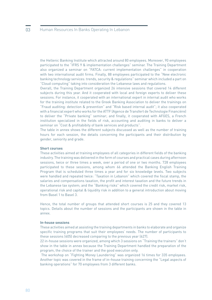the Hellenic Banking Institute which attracted around 80 employees. Moreover, 90 employees participated to the "IFRS 9 & implementation challenges" seminar. The Training Department also organized a seminar on "FATCA: current implementation challenges" in cooperation with two international audit firms. Finally, 88 employees participated to the "New electronic banking technology services: trends, security & regulations" seminar which included a part on "Cloud computing" taking into consideration the Lebanese laws and regulations.

Overall, the Training Department organized 26 intensive sessions that covered 14 different subjects during this year. And it cooperated with local and foreign experts to deliver these sessions. For instance, it cooperated with an international expert in internal audit who works for the training institute related to the Greek Banking Association to deliver the trainings on "Fraud auditing: detection & prevention" and "Risk based internal audit"; it also cooperated with a financial expert who works for the ATTF (Agence de Transfert de Technologie Financière) to deliver the "Private banking" seminar; and finally, it cooperated with AFGES, a French institution specialized in the fields of risk, accounting and auditing in banks to deliver a seminar on "Cost & profitabibity of bank services and products".

The table in annex shows the different subjects discussed as well as the number of training hours for each session, the details concerning the participants and their distribution by gender, seniority and grade.

#### **Short courses**

These activities aimed at training employees of all categories in different fields of the banking industry. The training was delivered in the form of courses and practical cases during afternoon sessions, twice or three times a week, over a period of one or two months. 728 employees participated to these sessions, among whom 66 attended the Banking English Training Program that is scheduled three times a year and for six knowledge levels. Two subjects were handled and repeated twice: "Taxation in Lebanon" which covered the fiscal stamp, the salaries and compensations taxation, the profit and interest taxation and the future trends in the Lebanese tax system; and the "Banking risks" which covered the credit risk, market risk, operational risk and capital & liquidity risk in addition to a general introduction about moving from Basel 1 to Basel 3.

Hence, the total number of groups that attended short courses is 25 and they covered 13 topics. Details about the number of sessions and the participants are shown in the table in annex.

#### **In-house sessions**

These activities aimed at assisting the training departments in banks to elaborate and organize specific training programs that suit their employees' needs. The number of participants to these sessions (405) decreased comparing to the previous year (627).

22 in-house sessions were organized, among which 3 sessions on "Training the trainers" don't show in the table in annex because the Training Department handled the preparation of the program, the choice of the trainer and the good execution only.

 The workshop on "Fighting Money Laundering" was organized 16 times for 335 employees. Another topic was covered in the frame of in–house training concerning the "Legal aspects of banking operations" for 70 employees from 3 different banks.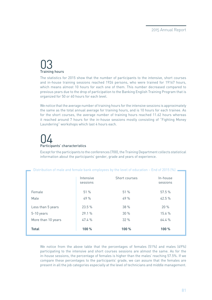## 03 Training hours

The statistics for 2015 show that the number of participants to the intensive, short courses and in-house training sessions reached 1926 persons, who were trained for 19167 hours, which means almost 10 hours for each one of them. This number decreased compared to previous years due to the drop of participation to the Banking English Training Program that is organized for 50 or 60 hours for each level.

We notice that the average number of training hours for the intensive sessions is approximately the same as the total annual average for training hours, and is 10 hours for each trainee. As for the short courses, the average number of training hours reached 11.62 hours whereas it reached around 7 hours for the in-house sessions mostly consisting of "Fighting Money Laundering" workshops which last 4 hours each.

# 04 Participants' characteristics

Except for the participants to the conferences (700), the Training Department collects statistical information about the participants' gender, grade and years of experience.

and female bank employees by the level of education – End of 2015  $(0)$ 

| <u>Distribution of mate and remate bank emptoyees by the tever or equeation – Life or 2010 (70)</u> |                       |               |                      |  |  |  |  |  |  |
|-----------------------------------------------------------------------------------------------------|-----------------------|---------------|----------------------|--|--|--|--|--|--|
|                                                                                                     | Intensive<br>sessions | Short courses | In-house<br>sessions |  |  |  |  |  |  |
| Female                                                                                              | 51%                   | 51%           | 57.5%                |  |  |  |  |  |  |
| Male                                                                                                | 49%                   | 49%           | 42.5 %               |  |  |  |  |  |  |
| Less than 5 years                                                                                   | 23.5 %                | 38 %          | 20%                  |  |  |  |  |  |  |
| 5-10 years                                                                                          | 29.1%                 | 30%           | 15.6 %               |  |  |  |  |  |  |
| More than 10 years                                                                                  | 47.4 %                | 32%           | 64.4%                |  |  |  |  |  |  |
| <b>Total</b>                                                                                        | 100 %                 | 100 %         | 100 %                |  |  |  |  |  |  |

We notice from the above table that the percentages of females (51%) and males (49%) participating to the intensive and short courses sessions are almost the same. As for the in-house sessions, the percentage of females is higher than the males' reaching 57.5%. If we compare these percentages to the participants' grade, we can assure that the females are present in all the job categories especially at the level of technicians and middle management.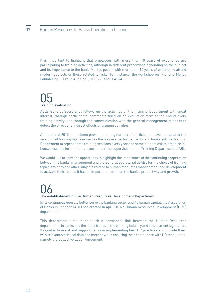It is important to highlight that employees with more than 10 years of experience are participating to training activities, although in different proportions depending on the subject and its importance to the bank. Mostly, people with more than 10 years of experience attend modern subjects or those related to risks. For instance, the workshop on "Fighting Money Laundering", "Fraud Auditing", "IFRS 9" and "FATCA".

# 05<br>Training evaluation

ABL's General Secretariat follows up the activities of the Training Department with great interest, through participants' comments filled on an evaluation form at the end of every training activity, and through the communication with the general management of banks to detect the direct and indirect effects of training activities.

At the end of 2015, it has been proven that a big number of participants have appreciated the selection of training topics as well as the trainers' performance. In fact, banks ask the Training Department to repeat some training sessions every year and some of them ask to organize inhouse sessions for their employees under the supervision of the Training Department at ABL.

We would like to seize the opportunity to highlight the importance of the continuing cooperation between the banks' management and the General Secretariat at ABL for the choice of training topics, trainers and other subjects related to human resources management and development to activate their role as it has an important impact on the banks' productivity and growth.

## 06 The establishment of the Human Resources Development Department

In its continuous quest to better serve the banking sector and its human capital, the Association of Banks in Lebanon (ABL) has created in April 2016 a Human Resources Development (HRD) department.

This department aims to establish a permanent link between the Human Resources departments in banks and the latest trends in the banking industry and employment legislation. Its goal is to assist and support banks in implementing best HR practices and provide them with relevant statistical data and metrics while ensuring their compliance with HR resolutions, namely the Collective Labor Agreement.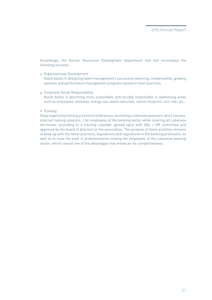Accordingly, the Human Resources Development department role will encompass the following sections:

- Organizational Development Assist banks in designing talent management / succession planning, compensation, grading systems and performance management programs based on best practices.
- Corporate Social Responsibility Assist banks in becoming more sustainable and socially responsible in addressing areas such as employees' wellness, energy use, waste reduction, carbon footprint, civic role, etc…
- Training

Keep organizing training activities (conferences, workshops, intensive seminars, short courses, internal training sessions…) for employees of the banking sector while covering all Lebanese territories, according to a training calendar agreed upon with ABL / HR committee and approved by the board of directors at the association. The purpose of these activities remains to keep up with the latest practices, legislations and regulations in the banking profession, as well as to raise the level of professionalism among the employees of the Lebanese banking sector, which consist one of the advantages that enhances its competitiveness.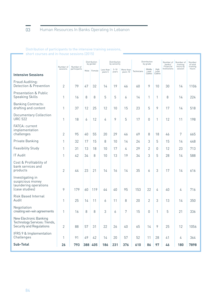## 03 Human Resources In Banks Operating In Lebanon

Distribution of participants to the intensive training sessions, short courses and in-house sessions (2015)

|                                                                                    | Number of      | Number of    |    | Distribution<br>by gender |                      | Distribution<br>by seniority |                       |             | Distribution<br>by grade  |                         | Number of<br>banks/<br>Financial | Number of<br>training<br>hours by | Number<br>of total<br>training |
|------------------------------------------------------------------------------------|----------------|--------------|----|---------------------------|----------------------|------------------------------|-----------------------|-------------|---------------------------|-------------------------|----------------------------------|-----------------------------------|--------------------------------|
| <b>Intensive Sessions</b>                                                          | sessions       | participants |    | Male Female               | Less than<br>years 5 | $5 - 10$<br>years            | More than<br>years 10 | Technicians | Middle<br>Level<br>Cadres | High<br>Level<br>Cadres | Institutions                     | session                           | hours                          |
|                                                                                    |                |              |    |                           |                      |                              |                       |             |                           |                         |                                  |                                   |                                |
| Fraud Auditing:<br>Detection & Prevention                                          | 2              | 79           | 47 | 32                        | 14                   | 19                           | 46                    | 60          | 9                         | 10                      | 30                               | 14                                | 1106                           |
| <b>Presentation &amp; Public</b><br><b>Speaking Skills</b>                         | 1              | 16           | 8  | 8                         | 5                    | 5                            | 6                     | 14          | 1                         | 1                       | 8                                | 14                                | 224                            |
| <b>Banking Contracts:</b><br>drafting and content                                  | 1              | 37           | 12 | 25                        | 12                   | 10                           | 15                    | 23          | 5                         | 9                       | 17                               | 14                                | 518                            |
| <b>Documentary Collection</b><br><b>URC 522</b>                                    | 1              | 18           | 6  | 12                        | 4                    | 9                            | 5                     | 17          | 0                         | 1                       | 12                               | 11                                | 198                            |
| FATCA: current<br>implementation<br>challenges                                     | 2              | 95           | 40 | 55                        | 20                   | 29                           | 46                    | 69          | 8                         | 18                      | 46                               | 7                                 | 665                            |
|                                                                                    |                |              |    |                           |                      |                              |                       |             |                           |                         |                                  |                                   |                                |
| Private Banking                                                                    | 1              | 32           | 17 | 15                        | 8                    | 10                           | 14                    | 24          | 3                         | 5                       | 15                               | 14                                | 448                            |
| <b>Feasibility Study</b>                                                           | 1              | 31           | 13 | 18                        | 10                   | 17                           | 4                     | 29          | $\overline{2}$            | 0                       | 12                               | 23                                | 713                            |
| <b>IT Audit</b>                                                                    | 1              | 42           | 34 | 8                         | 10                   | 13                           | 19                    | 34          | 3                         | 5                       | 28                               | 14                                | 588                            |
| Cost & Profitability of<br>bank services and<br>products                           | 2              | 44           | 23 | 21                        | 14                   | 16                           | 14                    | 35          | 6                         | 3                       | 17                               | 14                                | 616                            |
| Investigating in<br>suspicious money<br>laundering operations<br>(case studies)    | 9              | 179          | 60 | 119                       | 44                   | 40                           | 95                    | 153         | 22                        | 4                       | 40                               | 4                                 | 716                            |
|                                                                                    |                |              |    |                           |                      |                              |                       |             |                           |                         |                                  |                                   |                                |
| <b>Risk Based Internal</b><br>Audit                                                | 1              | 25           | 14 | 11                        | 6                    | 11                           | 8                     | 20          | $\overline{2}$            | 3                       | 13                               | 14                                | 350                            |
| Negotiation<br>creating win-win agreements                                         | 1              | 16           | 8  | 8                         | 3                    | 6                            | 7                     | 15          | 0                         | 1                       | 5                                | 21                                | 336                            |
| New Electronic Banking<br>Technology Services: Trends,<br>Security and Regulations | $\overline{2}$ | 88           | 57 | 31                        | 22                   | 26                           | 40                    | 65          | 14                        | 9                       | 25                               | 12                                | 1056                           |
| IFRS 9 & Implementation<br>Challenges                                              | 1              | 91           | 49 | 42                        | 14                   | 20                           | 57                    | 52          | 11                        | 28                      | 41                               | 4                                 | 364                            |
| <b>Sub-Total</b>                                                                   | 26             | 793          |    | 388 405                   | 186                  | 231                          | 376                   | 610         | 86                        | 97                      | 46                               | 180                               | 7898                           |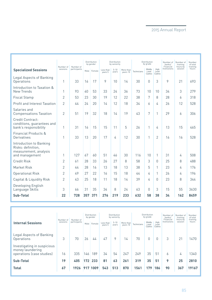|                                                                                          | Number of<br>Number of |              |     | <b>Distribution</b><br>by gender |                      | Distribution<br>by seniority |                       |             | Distribution<br>by grade  |                         | Number of<br>banks/<br>Financial | Number of<br>training<br>hours by | Number<br>of total<br>training |
|------------------------------------------------------------------------------------------|------------------------|--------------|-----|----------------------------------|----------------------|------------------------------|-----------------------|-------------|---------------------------|-------------------------|----------------------------------|-----------------------------------|--------------------------------|
| <b>Specialized Sessions</b>                                                              | sessions               | participants |     | Male Female                      | Less than<br>years 5 | $5 - 10$<br>years            | More than<br>years 10 | Technicians | Middle<br>Level<br>Cadres | High<br>Level<br>Cadres | Institutions                     | session                           | hours                          |
| Legal Aspects of Banking<br>Operations                                                   | 1                      | 33           | 16  | 17                               | 9                    | 10                           | 14                    | 30          | 0                         | 3                       | 9                                | 21                                | 693                            |
| Introduction to Taxation &<br>New Trends                                                 | 1                      | 93           | 40  | 53                               | 33                   | 24                           | 36                    | 73          | 10                        | 10                      | 34                               | 3                                 | 279                            |
| <b>Fiscal Stamp</b>                                                                      | $\overline{2}$         | 53           | 23  | 30                               | 19                   | 12                           | 22                    | 38          | 7                         | 8                       | 28                               | 6                                 | 318                            |
| Profit and Interest Taxation                                                             | $\overline{2}$         | 44           | 24  | 20                               | 14                   | 12                           | 18                    | 34          | 6                         | 4                       | 26                               | 12                                | 528                            |
| Salaries and<br><b>Compensations Taxation</b>                                            | $\overline{2}$         | 51           | 19  | 32                               | 18                   | 14                           | 19                    | 43          | 7                         | 1                       | 29                               | 6                                 | 306                            |
| Credit Contract:<br>conditions, guarantees and<br>bank's responsibility                  | 1                      | 31           | 16  | 15                               | 15                   | 11                           | 5                     | 26          | 1                         | 4                       | 13                               | 15                                | 465                            |
| <b>Financial Products &amp;</b><br>Derivatives                                           | 1                      | 33           | 13  | 20                               | 17                   | 4                            | 12                    | 30          | 1                         | $\overline{2}$          | 16                               | 16                                | 528                            |
| Introduction to Banking<br>Risks: definition.<br>measurement, analysis<br>and management | 1                      | 127          | 67  | 60                               | 51                   | 46                           | 30                    | 116         | 10                        | 1                       | 31                               | 4                                 | 508                            |
| <b>Credit Risk</b>                                                                       | $\overline{2}$         | 61           | 28  | 33                               | 26                   | 27                           | 8                     | 58          | 3                         | $\Omega$                | 25                               | 8                                 | 488                            |
| Market Risk                                                                              | $\overline{2}$         | 44           | 28  | 16                               | 13                   | 18                           | 13                    | 38          | 5                         | 1                       | 23                               | 4                                 | 176                            |
| <b>Operational Risk</b>                                                                  | $\overline{2}$         | 49           | 27  | 22                               | 16                   | 15                           | 18                    | 44          | 4                         | 1                       | 26                               | 4                                 | 196                            |
| Capital & Liquidity Risk                                                                 | $\overline{2}$         | 43           | 25  | 18                               | 11                   | 18                           | 14                    | 39          | 4                         | <sup>n</sup>            | 23                               | 8                                 | 344                            |
| Developing English<br>Language Skills                                                    | 3                      | 66           | 31  | 35                               | 34                   | 8                            | 24                    | 63          | 0                         | 3                       | 15                               | 55                                | 3630                           |
| Sub-Total                                                                                | 22                     | 728          | 357 | 371                              | 276                  | 219                          | 233                   | 632         | 58                        | 38                      | 34                               | 162                               | 8459                           |

| <b>Internal Sessions</b>                                                     | Number of<br>sessions | Number of<br>participants | Male | Distribution<br>by gender<br>Female | Less than<br>years 5 | Distribution<br>by seniority<br>$5 - 10$<br>years | More than<br>years 10 | Technicians | Distribution<br>by grade<br>Middle<br>Level<br>Cadres | High<br>Level<br>Cadres | Number of<br>banks/<br>Financial<br>Institutions | Number of<br>training<br>hours by<br>session | Number<br>of total<br>training<br>hours |
|------------------------------------------------------------------------------|-----------------------|---------------------------|------|-------------------------------------|----------------------|---------------------------------------------------|-----------------------|-------------|-------------------------------------------------------|-------------------------|--------------------------------------------------|----------------------------------------------|-----------------------------------------|
| Legal Aspects of Banking<br>Operations                                       | 3                     | 70                        | 26   | 44                                  | 47                   | 9                                                 | 14                    | 70          | $\mathbf{0}$                                          | 0                       | 3                                                | 21                                           | 1470                                    |
| Investigating in suspicious<br>money laundering<br>operations (case studies) | 16                    | 335                       | 146  | 189                                 | 34                   | 54                                                | 247                   | 249         | 35                                                    | 51                      | 6                                                | 4                                            | 1340                                    |
| Sub-Total                                                                    | 19                    | 405                       | 172  | 233                                 | 81                   | 63                                                | 261                   | 319         | 35                                                    | 51                      | 9                                                | 25                                           | 2810                                    |
| <b>Total</b>                                                                 | 67                    | 1926                      |      | 917 1009                            | 543                  | 513                                               | 870                   | 1561        | 179                                                   | 186                     | 90                                               | 367                                          | 19167                                   |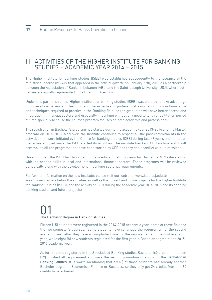## III- ACTIVITIES OF THE HIGHER INSTITUTE FOR BANKING STUDIES – ACADEMIC YEAR 2014 – 2015

The Higher institute for banking studies (ISEB) was established subsequently to the issuance of the ministerial decree n° 9749 that appeared in the official gazette on January 27th, 2013 as a partnership between the Association of Banks in Lebanon (ABL) and the Saint-Joseph University (USJ), where both parties are equally represented in its Board of Directors.

Under this partnership, the Higher institute for banking studies (ISEB) was enabled to take advantage of university experience in teaching and the expertise of professional association body in knowledge and techniques required to practice in the Banking field, so the graduates will have better access and integration in financial sectors and especially in banking without any need to long rehabilitation period of time specially because the courses program focuses on both academic and professional.

The registration in Bachelor's program had started during the academic year 2013-2014 and the Master program on 2014-2015. Moreover, the Institute continues to respect all the past commitments in the activities that were initiated by the Centre for banking studies (CEB) during last 46 years and its raison d'être has stopped since the ISEB started its activities. The institute has kept CEB archive and it will accomplish all the programs that have been started by CEB and they don't conflict with its missions.

Based on that, the ISEB had launched modern educational programs for Bachelors & Masters along with the needed skills in local and international financial sectors. These programs will be reviewed periodically along with the development in banking sectorial requirements.

For further information on the new institute, please visit our web site: www.iseb.usj.edu.lb We summarize here below the activities as well as the current and future projects for the Higher Institute for Banking Studies (ISEB), and the activity of ISEB during the academic year 2014-2015 and its ongoing banking studies and future projects:

## 01 The Bachelor degree in Banking studies

Fifteen (15) students were registered in the 2014-2015 academic year; some of those finished the two semester's courses. Some students have continued the requirement of the second academic year after they have accomplished most of the requirements of the first academic year; while eight (8) new students registered for the first year in Bachelor degree of the 2015- 2016 academic year.

As for students registered in the Specialized Banking studies Bachelor (60 credits), nineteen (19) finished all requirement and were the second promotion of acquiring the **Bachelor in Banking Studies.** It is worth mentioning that six (6) of those students had already another Bachelor degree in Economics, Finance or Business, so they only got 24 credits from the 60 credits to be achieved.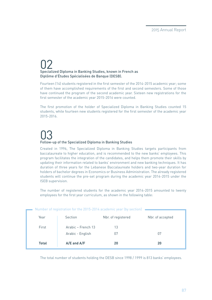## 02 Specialized Diploma in Banking Studies, known in French as Diplôme d'Études Spécialisées de Banque (DESB).

Fourteen (14) students registered in the first semester of the 2014-2015 academic year; some of them have accomplished requirements of the first and second semesters. Some of those have continued the program of the second academic year. Sixteen new registrations for the first semester of the academic year 2015-2016 were counted.

The first promotion of the holder of Specialized Diploma in Banking Studies counted 15 students, while fourteen new students registered for the first semester of the academic year 2015-2016.

# 03 Follow-up of the Specialized Diploma in Banking Studies

Created in 1996, The Specialized Diploma in Banking Studies targets participants from baccalaureate to higher education, and is recommended to the new banks' employees. This program facilitates the integration of the candidates, and helps them promote their skills by updating their information related to banks' environment and new banking techniques. It has duration of three years for the Lebanese Baccalaureate holders and two-year duration for holders of bachelor degrees in Economics or Business Administration. The already registered students will continue the pre-set program during the academic year 2014-2015 under the ISEB supervision.

The number of registered students for the academic year 2014-2015 amounted to twenty employees for the first year curriculum, as shown in the following table:

| Number of registration for the 2015-2014 academic year (by section) |                    |                    |                  |  |  |  |  |  |  |  |
|---------------------------------------------------------------------|--------------------|--------------------|------------------|--|--|--|--|--|--|--|
| Year                                                                | Section            | Nbr. of registered | Nbr. of accepted |  |  |  |  |  |  |  |
| First                                                               | Arabic - French 13 | 13                 |                  |  |  |  |  |  |  |  |
|                                                                     | Arabic - English   | 07                 | 07               |  |  |  |  |  |  |  |
| <b>Total</b>                                                        | $A/E$ and $A/F$    | 20                 | 20               |  |  |  |  |  |  |  |

The total number of students holding the DESB since 1998 / 1999 is 813 banks' employees.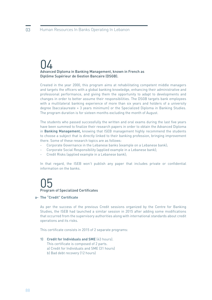## 04 Advanced Diploma in Banking Management, known in French as Diplôme Supérieur de Gestion Bancaire (DSGB).

Created in the year 2000, this program aims at rehabilitating competent middle managers and targets the officers with a global banking knowledge, enhancing their administrative and professional performance, and giving them the opportunity to adapt to developments and changes in order to better assume their responsibilities. The DSGB targets bank employees with a multilateral banking experience of more than six years and holders of a university degree (baccalaureate + 3 years minimum) or the Specialized Diploma in Banking Studies. The program duration is for sixteen months excluding the month of August.

The students who passed successfully the written and oral exams during the last five years have been summed to finalize their research papers in order to obtain the Advanced Diploma in **Banking Management,** knowing that ISEB management highly recommend the students to choose a subject that is directly linked to their banking profession, bringing improvement there. Some of these research topics are as follows:

- Corporate Governance in the Lebanese banks (example on a Lebanese bank);
- Corporate Social Responsibility (applied example in a Lebanese bank);
- Credit Risks (applied example in a Lebanese bank);

In that regard, the ISEB won't publish any paper that includes private or confidential information on the banks.

## 05 Program of Specialized Certificates

#### **The "Credit" Certificate a-**

As per the success of the previous Credit sessions organized by the Centre for Banking Studies, the ISEB had launched a similar session in 2015 after adding some modifications that occurred from the supervisory authorities along with international standards about credit operations and its risks.

This certificate consists in 2015 of 2 separate programs:

### **1) Credit for Individuals and SME** (43 hours).

This certificate is composed of 2 parts.

- a) Credit for Individuals and SME (31 hours)
- b) Bad debt recovery (12 hours)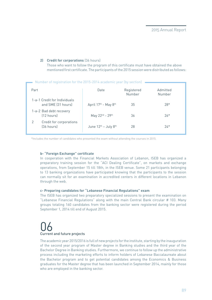## **2) Credit for corporations** (36 hours)

 Those who want to follow the program of this certificate must have obtained the above mentioned first certificate. The participants of the 2015 session were distributed as follows:

|      | Number of registration for the 2015-2014 academic year (by section) |                                              |            |          |  |  |  |  |  |
|------|---------------------------------------------------------------------|----------------------------------------------|------------|----------|--|--|--|--|--|
| Part |                                                                     | Date                                         | Registered | Admitted |  |  |  |  |  |
|      |                                                                     |                                              | Number     | Number   |  |  |  |  |  |
|      | 1-a-1 Credit for Individuals<br>and SME (31 hours)                  | April 17th - May 8th                         | 35         | $28*$    |  |  |  |  |  |
|      | 1-a-2 Bad debt recovery<br>$(12 \text{ hours})$                     | May 22nd - 29th                              | 36         | $26*$    |  |  |  |  |  |
| 2    | Credit for corporations<br>(36 hours)                               | June $12^{\text{th}}$ – July $8^{\text{th}}$ | 28         | $24*$    |  |  |  |  |  |
|      |                                                                     |                                              |            |          |  |  |  |  |  |

\*Includes the number of candidates who presented the exam without attending the courses in 2015.

## **b- "Foreign Exchange" certificate**

In cooperation with the Financial Markets Association of Lebanon, ISEB has organized a preparatory training session for the "ACI Dealing Certificate", on markets and exchange operations, from September 15 till 18th, in the ISEB venue. Some 21 participants belonging to 13 banking organizations have participated knowing that the participants to the session can normally sit for an examination in accredited centers in different locations in Lebanon through the web.

#### **c- Preparing candidates for "Lebanese Financial Regulations" exam**

The ISEB has organized two preparatory specialized sessions to present the examination on "Lebanese Financial Regulations" along with the main Central Bank circular # 103. Many groups totaling 160 candidates from the banking sector were registered during the period September 1, 2014 till end of August 2015.

## O6<br>Current and future projects

The academic year 2015/2016 is full of new projects for the institute, starting by the inauguration of the second year program of Master degree in Banking studies and the third year of the Bachelor Degree in Banking studies. Furthermore, we continue to follow up the administrative process including the marketing efforts to inform holders of Lebanese Baccalaureate about the Bachelor program and to get potential candidates among the Economics & Business graduates for the Master degree that has been launched in September 2014, mainly for those who are employed in the banking sector.